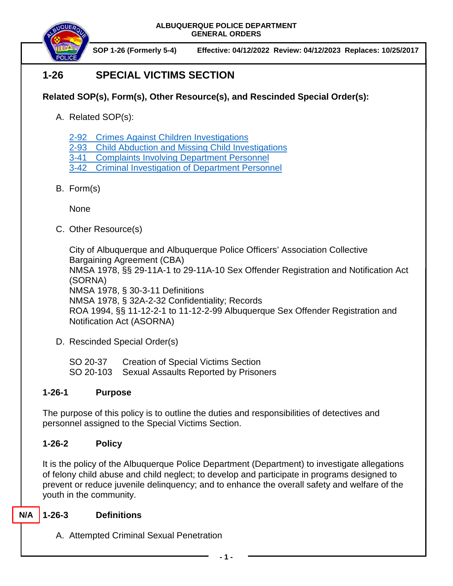

**SOP 1-26 (Formerly 5-4) Effective: 04/12/2022 Review: 04/12/2023 Replaces: 10/25/2017**

# **1-26 SPECIAL VICTIMS SECTION**

# **Related SOP(s), Form(s), Other Resource(s), and Rescinded Special Order(s):**

- A. Related SOP(s):
	- 2-92 [Crimes Against Children Investigations](https://powerdms.com/docs/116?q=2-72)
	- 2-93 [Child Abduction and Missing Child Investigations](https://powerdms.com/docs/118?q=2-93)
	- 3-41 [Complaints Involving Department Personnel](https://powerdms.com/docs/184?q=3-41)
	- 3-42 [Criminal Investigation of Department](https://powerdms.com/docs/113?q=3-42) Personnel
- B. Form(s)

None

C. Other Resource(s)

City of Albuquerque and Albuquerque Police Officers' Association Collective Bargaining Agreement (CBA) NMSA 1978, §§ 29-11A-1 to 29-11A-10 Sex Offender Registration and Notification Act (SORNA) NMSA 1978, § 30-3-11 Definitions NMSA 1978, § 32A-2-32 Confidentiality; Records ROA 1994, §§ 11-12-2-1 to 11-12-2-99 Albuquerque Sex Offender Registration and Notification Act (ASORNA)

D. Rescinded Special Order(s)

SO 20-37 Creation of Special Victims Section SO 20-103 Sexual Assaults Reported by Prisoners

# **1-26-1 Purpose**

The purpose of this policy is to outline the duties and responsibilities of detectives and personnel assigned to the Special Victims Section.

# **1-26-2 Policy**

It is the policy of the Albuquerque Police Department (Department) to investigate allegations of felony child abuse and child neglect; to develop and participate in programs designed to prevent or reduce juvenile delinquency; and to enhance the overall safety and welfare of the youth in the community.

#### **1-26-3 Definitions N/A**

A. Attempted Criminal Sexual Penetration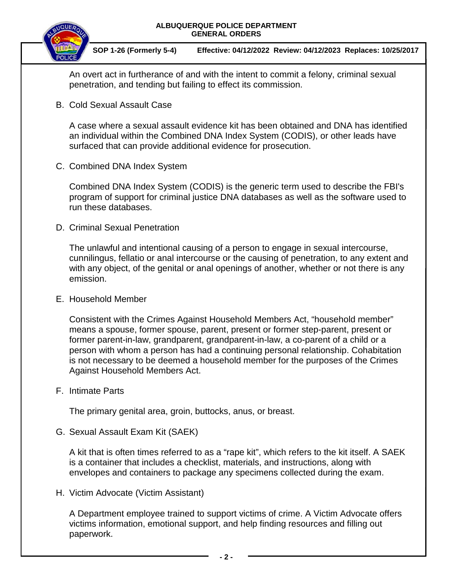



An overt act in furtherance of and with the intent to commit a felony, criminal sexual penetration, and tending but failing to effect its commission.

B. Cold Sexual Assault Case

A case where a sexual assault evidence kit has been obtained and DNA has identified an individual within the Combined DNA Index System (CODIS), or other leads have surfaced that can provide additional evidence for prosecution.

C. Combined DNA Index System

Combined DNA Index System (CODIS) is the generic term used to describe the FBI's program of support for criminal justice DNA databases as well as the software used to run these databases.

D. Criminal Sexual Penetration

The unlawful and intentional causing of a person to engage in sexual intercourse, cunnilingus, fellatio or anal intercourse or the causing of penetration, to any extent and with any object, of the genital or anal openings of another, whether or not there is any emission.

E. Household Member

Consistent with the Crimes Against Household Members Act, "household member" means a spouse, former spouse, parent, present or former step-parent, present or former parent-in-law, grandparent, grandparent-in-law, a co-parent of a child or a person with whom a person has had a continuing personal relationship. Cohabitation is not necessary to be deemed a household member for the purposes of the Crimes Against Household Members Act.

F. Intimate Parts

The primary genital area, groin, buttocks, anus, or breast.

G. Sexual Assault Exam Kit (SAEK)

A kit that is often times referred to as a "rape kit", which refers to the kit itself. A SAEK is a container that includes a checklist, materials, and instructions, along with envelopes and containers to package any specimens collected during the exam.

H. Victim Advocate (Victim Assistant)

A Department employee trained to support victims of crime. A Victim Advocate offers victims information, emotional support, and help finding resources and filling out paperwork.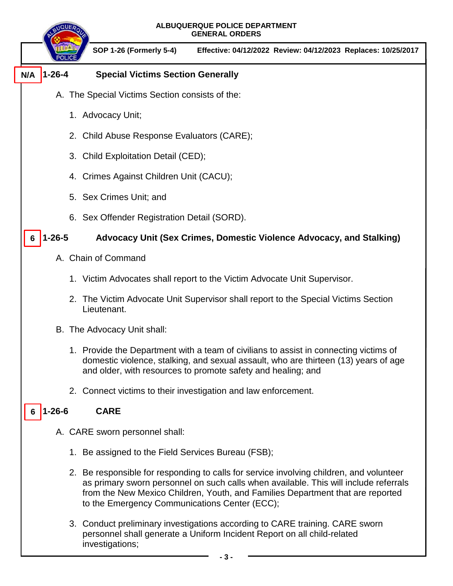| ALBUQUERQUE POLICE DEPARTMENT<br><b>GENERAL ORDERS</b> |                                                                                                                                                                                                                                                                                                                    |
|--------------------------------------------------------|--------------------------------------------------------------------------------------------------------------------------------------------------------------------------------------------------------------------------------------------------------------------------------------------------------------------|
|                                                        | <b>SOP 1-26 (Formerly 5-4)</b><br>Effective: 04/12/2022 Review: 04/12/2023 Replaces: 10/25/2017                                                                                                                                                                                                                    |
| $1 - 26 - 4$<br>N/A                                    | <b>Special Victims Section Generally</b>                                                                                                                                                                                                                                                                           |
|                                                        | A. The Special Victims Section consists of the:                                                                                                                                                                                                                                                                    |
|                                                        | 1. Advocacy Unit;                                                                                                                                                                                                                                                                                                  |
|                                                        | 2. Child Abuse Response Evaluators (CARE);                                                                                                                                                                                                                                                                         |
|                                                        | 3. Child Exploitation Detail (CED);                                                                                                                                                                                                                                                                                |
|                                                        | 4. Crimes Against Children Unit (CACU);                                                                                                                                                                                                                                                                            |
|                                                        | 5. Sex Crimes Unit; and                                                                                                                                                                                                                                                                                            |
|                                                        | 6. Sex Offender Registration Detail (SORD).                                                                                                                                                                                                                                                                        |
| $1 - 26 - 5$                                           | Advocacy Unit (Sex Crimes, Domestic Violence Advocacy, and Stalking)                                                                                                                                                                                                                                               |
|                                                        | A. Chain of Command                                                                                                                                                                                                                                                                                                |
|                                                        | 1. Victim Advocates shall report to the Victim Advocate Unit Supervisor.                                                                                                                                                                                                                                           |
|                                                        | 2. The Victim Advocate Unit Supervisor shall report to the Special Victims Section<br>Lieutenant.                                                                                                                                                                                                                  |
|                                                        | B. The Advocacy Unit shall:                                                                                                                                                                                                                                                                                        |
|                                                        | 1. Provide the Department with a team of civilians to assist in connecting victims of<br>domestic violence, stalking, and sexual assault, who are thirteen (13) years of age<br>and older, with resources to promote safety and healing; and                                                                       |
|                                                        | 2. Connect victims to their investigation and law enforcement.                                                                                                                                                                                                                                                     |
| $1 - 26 - 6$<br><b>CARE</b><br>6                       |                                                                                                                                                                                                                                                                                                                    |
|                                                        | A. CARE sworn personnel shall:                                                                                                                                                                                                                                                                                     |
|                                                        | 1. Be assigned to the Field Services Bureau (FSB);                                                                                                                                                                                                                                                                 |
|                                                        | 2. Be responsible for responding to calls for service involving children, and volunteer<br>as primary sworn personnel on such calls when available. This will include referrals<br>from the New Mexico Children, Youth, and Families Department that are reported<br>to the Emergency Communications Center (ECC); |

3. Conduct preliminary investigations according to CARE training. CARE sworn personnel shall generate a Uniform Incident Report on all child-related investigations;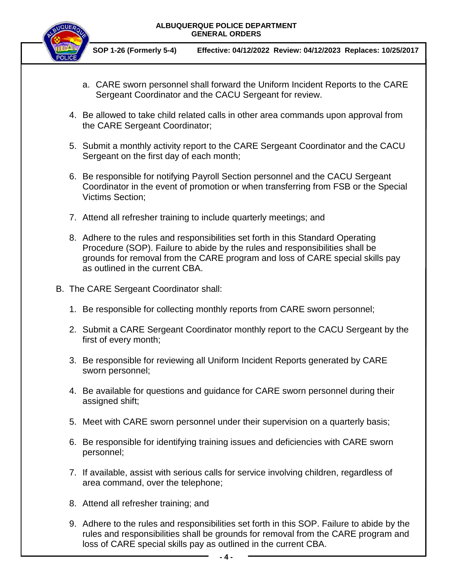

**SOP 1-26 (Formerly 5-4) Effective: 04/12/2022 Review: 04/12/2023 Replaces: 10/25/2017**

- a. CARE sworn personnel shall forward the Uniform Incident Reports to the CARE Sergeant Coordinator and the CACU Sergeant for review.
- 4. Be allowed to take child related calls in other area commands upon approval from the CARE Sergeant Coordinator;
- 5. Submit a monthly activity report to the CARE Sergeant Coordinator and the CACU Sergeant on the first day of each month;
- 6. Be responsible for notifying Payroll Section personnel and the CACU Sergeant Coordinator in the event of promotion or when transferring from FSB or the Special Victims Section;
- 7. Attend all refresher training to include quarterly meetings; and
- 8. Adhere to the rules and responsibilities set forth in this Standard Operating Procedure (SOP). Failure to abide by the rules and responsibilities shall be grounds for removal from the CARE program and loss of CARE special skills pay as outlined in the current CBA.
- B. The CARE Sergeant Coordinator shall:
	- 1. Be responsible for collecting monthly reports from CARE sworn personnel;
	- 2. Submit a CARE Sergeant Coordinator monthly report to the CACU Sergeant by the first of every month;
	- 3. Be responsible for reviewing all Uniform Incident Reports generated by CARE sworn personnel;
	- 4. Be available for questions and guidance for CARE sworn personnel during their assigned shift;
	- 5. Meet with CARE sworn personnel under their supervision on a quarterly basis;
	- 6. Be responsible for identifying training issues and deficiencies with CARE sworn personnel;
	- 7. If available, assist with serious calls for service involving children, regardless of area command, over the telephone;
	- 8. Attend all refresher training; and
	- 9. Adhere to the rules and responsibilities set forth in this SOP. Failure to abide by the rules and responsibilities shall be grounds for removal from the CARE program and loss of CARE special skills pay as outlined in the current CBA.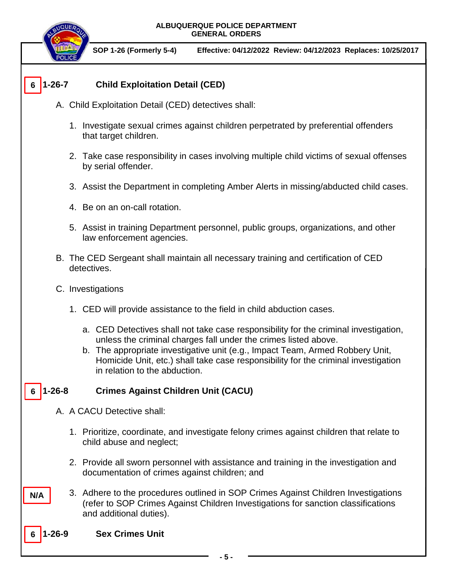**SOP 1-26 (Formerly 5-4) Effective: 04/12/2022 Review: 04/12/2023 Replaces: 10/25/2017**

### **1-26-7 Child Exploitation Detail (CED) 6**

- A. Child Exploitation Detail (CED) detectives shall:
	- 1. Investigate sexual crimes against children perpetrated by preferential offenders that target children.
	- 2. Take case responsibility in cases involving multiple child victims of sexual offenses by serial offender.
	- 3. Assist the Department in completing Amber Alerts in missing/abducted child cases.
	- 4. Be on an on-call rotation.
	- 5. Assist in training Department personnel, public groups, organizations, and other law enforcement agencies.
- B. The CED Sergeant shall maintain all necessary training and certification of CED detectives.
- C. Investigations
	- 1. CED will provide assistance to the field in child abduction cases.
		- a. CED Detectives shall not take case responsibility for the criminal investigation, unless the criminal charges fall under the crimes listed above.
		- b. The appropriate investigative unit (e.g., Impact Team, Armed Robbery Unit, Homicide Unit, etc.) shall take case responsibility for the criminal investigation in relation to the abduction.

#### **1-26-8 Crimes Against Children Unit (CACU) 6**

- A. A CACU Detective shall:
	- 1. Prioritize, coordinate, and investigate felony crimes against children that relate to child abuse and neglect;
	- 2. Provide all sworn personnel with assistance and training in the investigation and documentation of crimes against children; and
- 3. Adhere to the procedures outlined in SOP Crimes Against Children Investigations (refer to SOP Crimes Against Children Investigations for sanction classifications and additional duties).
- **Sex Crimes Unit 6**

**N/A**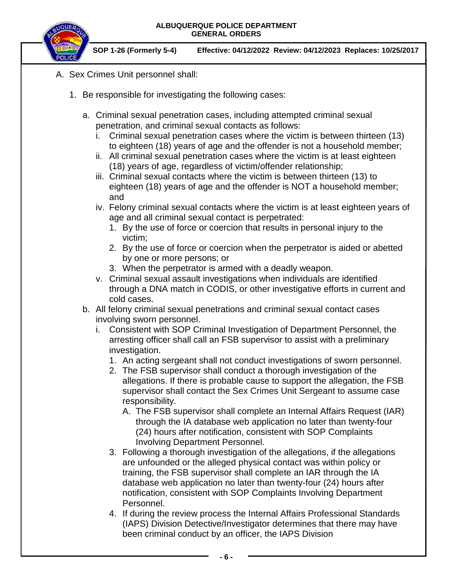

**SOP 1-26 (Formerly 5-4) Effective: 04/12/2022 Review: 04/12/2023 Replaces: 10/25/2017**

- A. Sex Crimes Unit personnel shall:
	- 1. Be responsible for investigating the following cases:
		- a. Criminal sexual penetration cases, including attempted criminal sexual penetration, and criminal sexual contacts as follows:
			- i. Criminal sexual penetration cases where the victim is between thirteen (13) to eighteen (18) years of age and the offender is not a household member;
			- ii. All criminal sexual penetration cases where the victim is at least eighteen (18) years of age, regardless of victim/offender relationship;
			- iii. Criminal sexual contacts where the victim is between thirteen (13) to eighteen (18) years of age and the offender is NOT a household member; and

iv. Felony criminal sexual contacts where the victim is at least eighteen years of age and all criminal sexual contact is perpetrated:

- 1. By the use of force or coercion that results in personal injury to the victim;
- 2. By the use of force or coercion when the perpetrator is aided or abetted by one or more persons; or
- 3. When the perpetrator is armed with a deadly weapon.
- v. Criminal sexual assault investigations when individuals are identified through a DNA match in CODIS, or other investigative efforts in current and cold cases.
- b. All felony criminal sexual penetrations and criminal sexual contact cases involving sworn personnel.
	- i. Consistent with SOP Criminal Investigation of Department Personnel, the arresting officer shall call an FSB supervisor to assist with a preliminary investigation.
		- 1. An acting sergeant shall not conduct investigations of sworn personnel.
		- 2. The FSB supervisor shall conduct a thorough investigation of the allegations. If there is probable cause to support the allegation, the FSB supervisor shall contact the Sex Crimes Unit Sergeant to assume case responsibility.
			- A. The FSB supervisor shall complete an Internal Affairs Request (IAR) through the IA database web application no later than twenty-four (24) hours after notification, consistent with SOP Complaints Involving Department Personnel.
		- 3. Following a thorough investigation of the allegations, if the allegations are unfounded or the alleged physical contact was within policy or training, the FSB supervisor shall complete an IAR through the IA database web application no later than twenty-four (24) hours after notification, consistent with SOP Complaints Involving Department Personnel.
		- 4. If during the review process the Internal Affairs Professional Standards (IAPS) Division Detective/Investigator determines that there may have been criminal conduct by an officer, the IAPS Division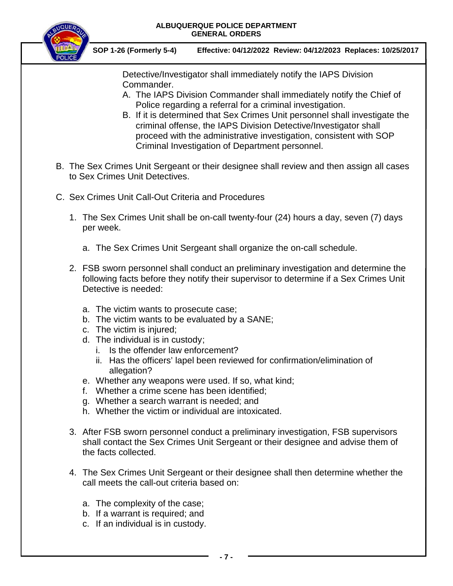

**SOP 1-26 (Formerly 5-4) Effective: 04/12/2022 Review: 04/12/2023 Replaces: 10/25/2017**

Detective/Investigator shall immediately notify the IAPS Division Commander.

- A. The IAPS Division Commander shall immediately notify the Chief of Police regarding a referral for a criminal investigation.
- B. If it is determined that Sex Crimes Unit personnel shall investigate the criminal offense, the IAPS Division Detective/Investigator shall proceed with the administrative investigation, consistent with SOP Criminal Investigation of Department personnel.
- B. The Sex Crimes Unit Sergeant or their designee shall review and then assign all cases to Sex Crimes Unit Detectives.
- C. Sex Crimes Unit Call-Out Criteria and Procedures
	- 1. The Sex Crimes Unit shall be on-call twenty-four (24) hours a day, seven (7) days per week.
		- a. The Sex Crimes Unit Sergeant shall organize the on-call schedule.
	- 2. FSB sworn personnel shall conduct an preliminary investigation and determine the following facts before they notify their supervisor to determine if a Sex Crimes Unit Detective is needed:
		- a. The victim wants to prosecute case;
		- b. The victim wants to be evaluated by a SANE;
		- c. The victim is injured;
		- d. The individual is in custody;
			- i. Is the offender law enforcement?
			- ii. Has the officers' lapel been reviewed for confirmation/elimination of allegation?
		- e. Whether any weapons were used. If so, what kind;
		- f. Whether a crime scene has been identified;
		- g. Whether a search warrant is needed; and
		- h. Whether the victim or individual are intoxicated.
	- 3. After FSB sworn personnel conduct a preliminary investigation, FSB supervisors shall contact the Sex Crimes Unit Sergeant or their designee and advise them of the facts collected.
	- 4. The Sex Crimes Unit Sergeant or their designee shall then determine whether the call meets the call-out criteria based on:
		- a. The complexity of the case;
		- b. If a warrant is required; and
		- c. If an individual is in custody.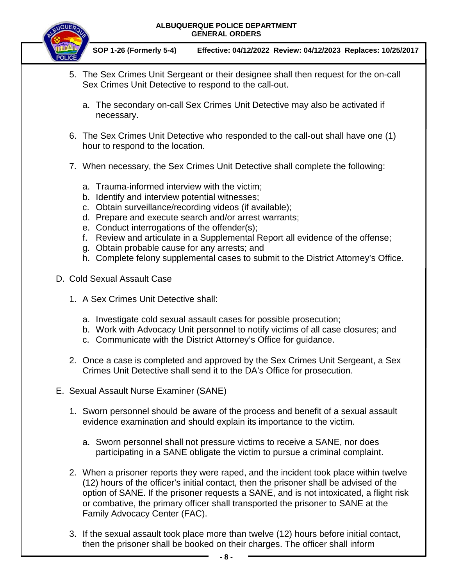

**SOP 1-26 (Formerly 5-4) Effective: 04/12/2022 Review: 04/12/2023 Replaces: 10/25/2017**

- 5. The Sex Crimes Unit Sergeant or their designee shall then request for the on-call Sex Crimes Unit Detective to respond to the call-out.
	- a. The secondary on-call Sex Crimes Unit Detective may also be activated if necessary.
- 6. The Sex Crimes Unit Detective who responded to the call-out shall have one (1) hour to respond to the location.
- 7. When necessary, the Sex Crimes Unit Detective shall complete the following:
	- a. Trauma-informed interview with the victim;
	- b. Identify and interview potential witnesses;
	- c. Obtain surveillance/recording videos (if available);
	- d. Prepare and execute search and/or arrest warrants;
	- e. Conduct interrogations of the offender(s);
	- f. Review and articulate in a Supplemental Report all evidence of the offense;
	- g. Obtain probable cause for any arrests; and
	- h. Complete felony supplemental cases to submit to the District Attorney's Office.
- D. Cold Sexual Assault Case
	- 1. A Sex Crimes Unit Detective shall:
		- a. Investigate cold sexual assault cases for possible prosecution;
		- b. Work with Advocacy Unit personnel to notify victims of all case closures; and
		- c. Communicate with the District Attorney's Office for guidance.
	- 2. Once a case is completed and approved by the Sex Crimes Unit Sergeant, a Sex Crimes Unit Detective shall send it to the DA's Office for prosecution.
- E. Sexual Assault Nurse Examiner (SANE)
	- 1. Sworn personnel should be aware of the process and benefit of a sexual assault evidence examination and should explain its importance to the victim.
		- a. Sworn personnel shall not pressure victims to receive a SANE, nor does participating in a SANE obligate the victim to pursue a criminal complaint.
	- 2. When a prisoner reports they were raped, and the incident took place within twelve (12) hours of the officer's initial contact, then the prisoner shall be advised of the option of SANE. If the prisoner requests a SANE, and is not intoxicated, a flight risk or combative, the primary officer shall transported the prisoner to SANE at the Family Advocacy Center (FAC).
	- 3. If the sexual assault took place more than twelve (12) hours before initial contact, then the prisoner shall be booked on their charges. The officer shall inform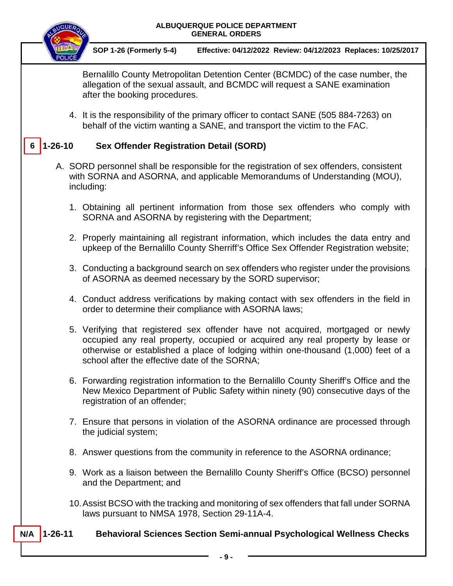

- A. SORD personnel shall be responsible for the registration of sex offenders, consistent with SORNA and ASORNA, and applicable Memorandums of Understanding (MOU), including:
	- 1. Obtaining all pertinent information from those sex offenders who comply with SORNA and ASORNA by registering with the Department;
	- 2. Properly maintaining all registrant information, which includes the data entry and upkeep of the Bernalillo County Sherriff's Office Sex Offender Registration website;
	- 3. Conducting a background search on sex offenders who register under the provisions of ASORNA as deemed necessary by the SORD supervisor;
	- 4. Conduct address verifications by making contact with sex offenders in the field in order to determine their compliance with ASORNA laws;
	- 5. Verifying that registered sex offender have not acquired, mortgaged or newly occupied any real property, occupied or acquired any real property by lease or otherwise or established a place of lodging within one-thousand (1,000) feet of a school after the effective date of the SORNA;
	- 6. Forwarding registration information to the Bernalillo County Sheriff's Office and the New Mexico Department of Public Safety within ninety (90) consecutive days of the registration of an offender;
	- 7. Ensure that persons in violation of the ASORNA ordinance are processed through the judicial system;
	- 8. Answer questions from the community in reference to the ASORNA ordinance;
	- 9. Work as a liaison between the Bernalillo County Sheriff's Office (BCSO) personnel and the Department; and
	- 10.Assist BCSO with the tracking and monitoring of sex offenders that fall under SORNA laws pursuant to NMSA 1978, Section 29-11A-4.

### **1-26-11 Behavioral Sciences Section Semi-annual Psychological Wellness Checks N/A**